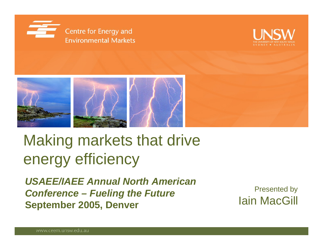





# Making markets that drive energy efficiency

*USAEE/IAEE Annual North American Conference – Fueling the Future* **September 2005, Denver** 

Presented by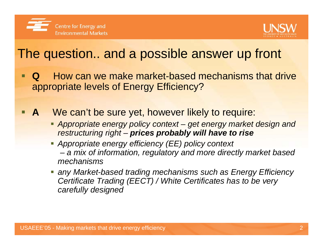



#### The question.. and a possible answer up front

- **Q** How can we make market-based mechanisms that drive appropriate levels of Energy Efficiency?
- A We can't be sure yet, however likely to require:
	- *Appropriate energy policy context – get energy market design and restructuring right – prices probably will have to rise*
	- *Appropriate energy efficiency (EE) policy context a mix of information, regulatory and more directly market based mechanisms*
	- *any Market-based trading mechanisms such as Energy Efficiency Certificate Trading (EECT) / White Certificates has to be very carefully designed*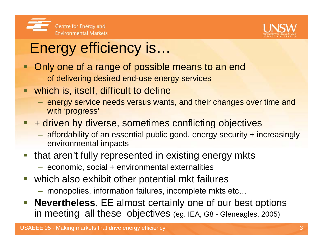



# Energy efficiency is…

- Ξ Only one of a range of possible means to an end
	- $\,-\,$  of delivering desired end-use energy services
- which is, itself, difficult to define
	- $-$  energy service needs versus wants, and their changes over time and  $\,$ with 'progress'
- **Service Service** + driven by diverse, sometimes conflicting objectives
	- affordability of an essential public good, energy security + increasingly environmental impacts
- $\mathcal{L}_{\mathcal{A}}$  that aren't fully represented in existing energy mkts
	- economic, social + environmental externalities
- $\mathcal{C}^{\mathcal{A}}$  which also exhibit other potential mkt failures
	- monopolies, information failures, incomplete mkts etc…
- $\mathcal{L}_{\mathcal{A}}$  **Nevertheless**, EE almost certainly one of our best options in meeting all these objectives (eg. IEA, G8 - Gleneagles, 2005)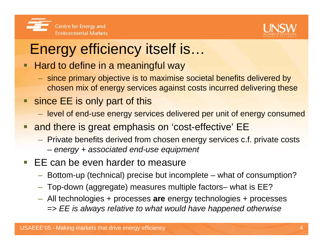



# Energy efficiency itself is…

#### □ Hard to define in a meaningful way

- since primary objective is to maximise societal benefits delivered by chosen mix of energy services against costs incurred delivering these
- since EE is only part of this
	- $-$  level of end-use energy services delivered per unit of energy consumed
- $\Box$  and there is great emphasis on 'cost-effective' EE
	- Private benefits derived from chosen energy services c.f. private costs
		- *energy + associated end-use equipment*
- $\overline{\mathbb{R}^n}$  EE can be even harder to measure
	- Bottom-up (technical) precise but incomplete what of consumption?
	- Top-down (aggregate) measures multiple factors– what is EE?
	- All technologies + processes **are** energy technologies + processes *=> EE is always relative to what would have happened otherwise*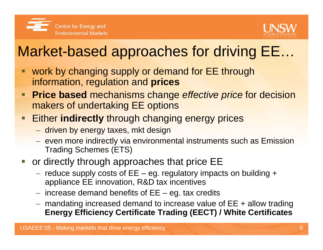



### Market-based approaches for driving EE…

- work by changing supply or demand for EE through information, regulation and **prices**
- **Price based** mechanisms change *effective price* for decision makers of undertaking EE options
- Either **indirectly** through changing energy prices
	- $\;$  driven by energy taxes, mkt design
	- $-$  even more indirectly via environmental instruments such as Emission Trading Schemes (ETS)
- **or directly through approaches that price EE** 
	- $-$  reduce supply costs of EE eg. regulatory impacts on building  $\texttt{+}$ appliance EE innovation, R&D tax incentives
	- $-$  increase demand benefits of EE  $-$  eg. tax credits
	- mandating increased demand to increase value of EE + allow trading **Energy Efficiency Certificate Trading (EECT) / White Certificates**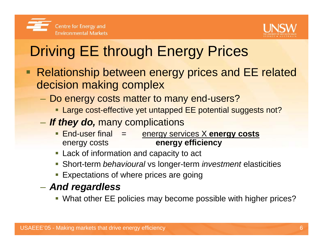



# Driving EE through Energy Prices

- Relationship between energy prices and EE related decision making complex
	- Do energy costs matter to many end-users?
		- **Large cost-effective yet untapped EE potential suggests not?**
	- *If they do,* many complications
		- End-user final = energy services X **energy costs** energy costs **energy efficiency**
		- Lack of information and capacity to act
		- Short-term *behavioural* vs longer-term *investment* elasticities
		- **Expectations of where prices are going**
	- *And regardless*
		- What other EE policies may become possible with higher prices?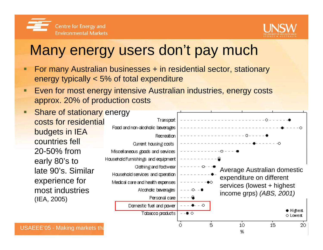



#### Many energy users don't pay much

- Ξ For many Australian businesses + in residential sector, stationary energy typically < 5% of total expenditure
- Ξ Even for most energy intensive Australian industries, energy costs approx. 20% of production costs
- Share of stationary energy Ξ Transport costs for residential Food and non-alcoholic beverages budgets in IEA Recreation countries fell Current housing costs  $- - - -$ 20-50% from Miscellaneous goods and services Household furnishings and equipment early 80's to Clothing and foctwear Average Australian domestic late 90's. Similar Household services and operation expenditure on different experience for Medical care and health expenses services (lowest + highest) most industriesAlcoholic beverages - - - -O- - ∎ income grps) *(ABS, 2001)*Personal care (IEA, 2005) Domestic fuel and power  $\bullet$  Highest Tobacco products  $--$  0  $\circ$ o Lowest USAEEE'05 - Making markets that drive energy efficiency of the state of the state of the state of the state of the state of the state of the state of the state of the state of the state of the state of the state of the st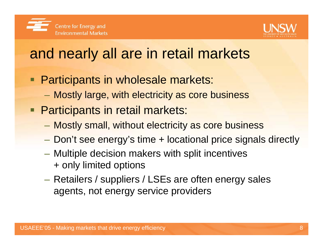



#### and nearly all are in retail markets

- **Participants in wholesale markets:** 
	- $\mathcal{L}_{\mathcal{A}}$ Mostly large, with electricity as core business
- **Participants in retail markets:** 
	- Mostly small, without electricity as core business
	- Don't see energy's time + locational price signals directly
	- Multiple decision makers with split incentives + only limited options
	- – Retailers / suppliers / LSEs are often energy sales agents, not energy service providers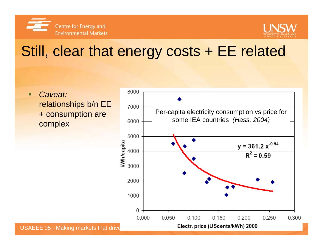



#### Still, clear that energy costs + EE related

П *Caveat:* relationships b/n EE + consumption are complex

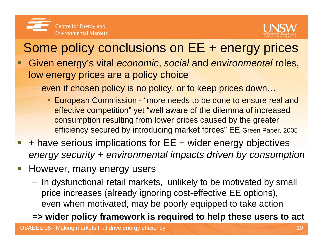



#### Some policy conclusions on EE + energy prices

- П Given energy's vital *economic*, *social* and *environmental* roles, low energy prices are a policy choice
	- $-$  even if chosen policy is no policy, or to keep prices down…
		- **European Commission "more needs to be done to ensure real and "** effective competition" yet "well aware of the dilemma of increased consumption resulting from lower prices caused by the greater efficiency secured by introducing market forces" EE Green Paper, 2005
- I. + have serious implications for EE + wider energy objectives *energy security + environmental impacts driven by consumption*
- $\overline{\phantom{a}}$  However, many energy users
	- $-$  In dysfunctional retail markets, <code>unlikely</code> to be motivated by small price increases (already ignoring cost-effective EE options), even when motivated, may be poorly equipped to take action

#### **=> wider policy framework is required to help these users to act**

USAEEE'05 - Making markets that drive energy efficiency 10 and 10 and 10 and 10 and 10 and 10 and 10 and 10 and 10 and 10 and 10 and 10 and 10 and 10 and 10 and 10 and 10 and 10 and 10 and 10 and 10 and 10 and 10 and 10 an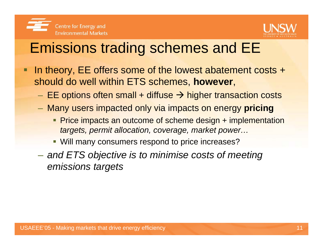



#### Emissions trading schemes and EE

- □ In theory, EE offers some of the lowest abatement costs + should do well within ETS schemes, **however**,
	- $-$  EE options often small + diffuse  $\rightarrow$  higher transaction costs
	- Many users impacted only via impacts on energy **pricing**
		- **Price impacts an outcome of scheme design + implementation** *targets, permit allocation, coverage, market power…*
		- **Will many consumers respond to price increases?**
	- *and ETS objective is to minimise costs of meeting emissions targets*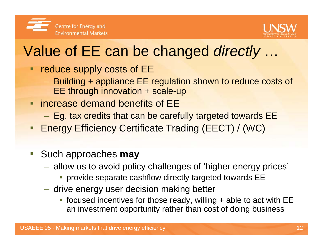



#### Value of EE can be changed *directly* …

- **PEDIET 2018 THE REPTITION COSTS OF EE** 
	- Building + appliance EE regulation shown to reduce costs of EE through innovation + scale-up
- **F** increase demand benefits of EE
	- Eg. tax credits that can be carefully targeted towards EE
- **Energy Efficiency Certificate Trading (EECT) / (WC)**
- Such approaches **may**
	- allow us to avoid policy challenges of 'higher energy prices'
		- **Provide separate cashflow directly targeted towards EE**
	- $-$  drive energy user decision making better  $\,$ 
		- focused incentives for those ready, willing + able to act with EE an investment opportunity rather than cost of doing business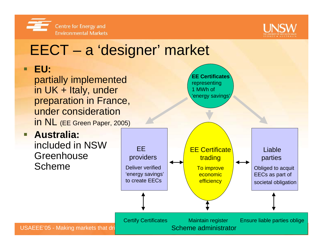



#### USAEEE'05 - Making markets that dri EECT – <sup>a</sup>'designer' market Liable parties Obliged to acquit EECs as part of societal obligation EEproviders Deliver verified 'energy savings' to create EECsEE Certificate trading To improve economic **efficiency EE Certificates**representing 1 MWh of 'energy savings' Certify Certificates Maintain register Ensure liable parties oblige Scheme administrator $\blacksquare$  **EU:** partially implemented in UK + Italy, under preparation in France, under considerationin NL (EE Green Paper, 2005) **Australia:** included in NSW **Greenhouse** Scheme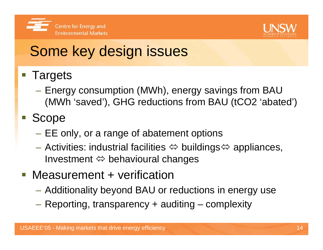



### Some key design issues

#### **Service Service Targets**

 Energy consumption (MWh), energy savings from BAU (MWh 'saved'), GHG reductions from BAU (tCO2 'abated')

#### **Scope**

- EE only, or a range of abatement options
- Activities: industrial facilities  $\Leftrightarrow$  buildings $\Leftrightarrow$  appliances, Investment  $\Leftrightarrow$  behavioural changes  $\overline{\phantom{a}}$
- **Measurement + verification** 
	- Additionality beyond BAU or reductions in energy use
	- Reporting, transparency + auditing complexity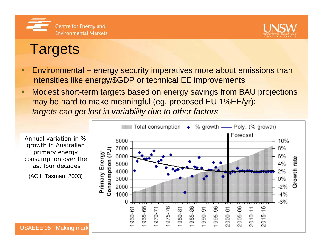



#### **Targets**

- $\blacksquare$  Environmental + energy security imperatives more about emissions than intensities like energy/\$GDP or technical EE improvements
- $\blacksquare$  Modest short-term targets based on energy savings from BAU projections may be hard to make meaningful (eg. proposed EU 1%EE/yr): *targets can get lost in variability due to other factors*

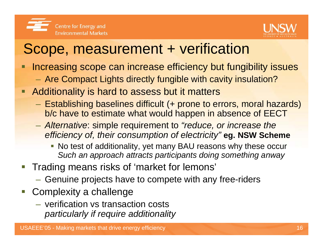

#### Scope, measurement + verification

- Increasing scope can increase efficiency but fungibility issues
	- Are Compact Lights directly fungible with cavity insulation?
- **Additionality is hard to assess but it matters** 
	- Establishing baselines difficult (+ prone to errors, moral hazards) b/c have to estimate what would happen in absence of EECT
	- *Alternative*: simple requirement to *"reduce, or increase the efficiency of, their consumption of electricity"* **eg. NSW Scheme**
		- No test of additionality, yet many BAU reasons why these occur *Such an approach attracts participants doing something anway*
- **Trading means risks of 'market for lemons'** 
	- $-$  Genuine projects have to compete with any free-riders
- **Complexity a challenge** 
	- verification vs transaction costs *particularly if require additionality*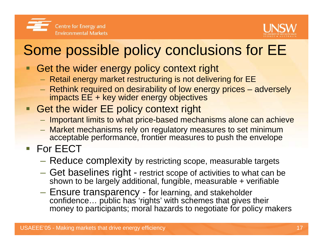



### Some possible policy conclusions for EE

- Get the wider energy policy context right
	- $-$  Retail energy market restructuring is not delivering for EE
	- Rethink required on desirability of low energy prices adversely impacts EE + key wider energy objectives
- **Get the wider EE policy context right** 
	- $-$  Important limits to what price-based mechanisms alone can achieve
	- Market mechanisms rely on regulatory measures to set minimum acceptable performance, frontier measures to push the envelope
- For EECT
	- $-$  Reduce complexity by restricting scope, measurable targets
	- Get baselines right restrict scope of activities to what can be shown to be largely additional, fungible, measurable + verifiable
	- Ensure transparency for learning, and stakeholder confidence… public has 'rights' with schemes that gives their money to participants; moral hazards to negotiate for policy makers